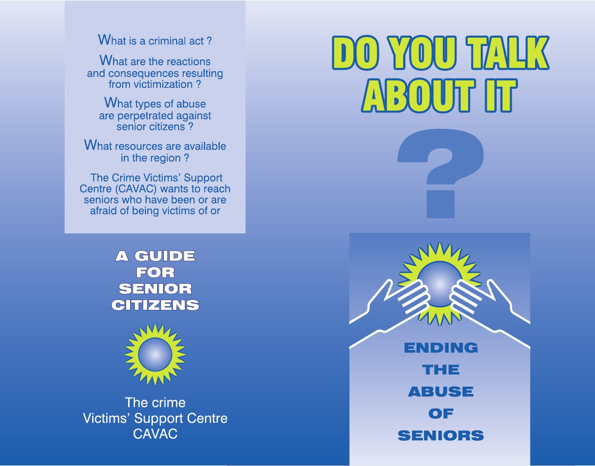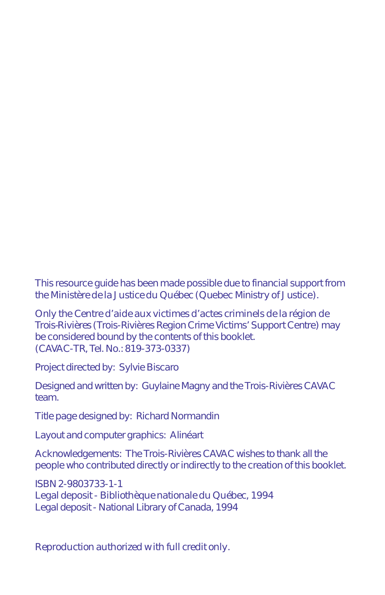This resource guide has been made possible due to financial support from the *Ministère de la Justice du Québec* (Quebec Ministry of Justice).

Only the *Centre d'aide aux victimes d'actes criminels de la région de Trois-Rivières* (Trois-Rivières Region Crime Victims' Support Centre) may be considered bound by the contents of this booklet. (CAVAC-TR, Tel. No.: 819-373-0337)

Project directed by: Sylvie Biscaro

Designed and written by: Guylaine Magny and the Trois-Rivières CAVAC team.

Title page designed by: Richard Normandin

Layout and computer graphics: Alinéart

Acknowledgements: The Trois-Rivières CAVAC wishes to thank all the people who contributed directly or indirectly to the creation of this booklet.

ISBN 2-9803733-1-1 Legal deposit - *Bibliothèque nationale du Québec*, 1994 Legal deposit - National Library of Canada, 1994

*Reproduction authorized with full credit only.*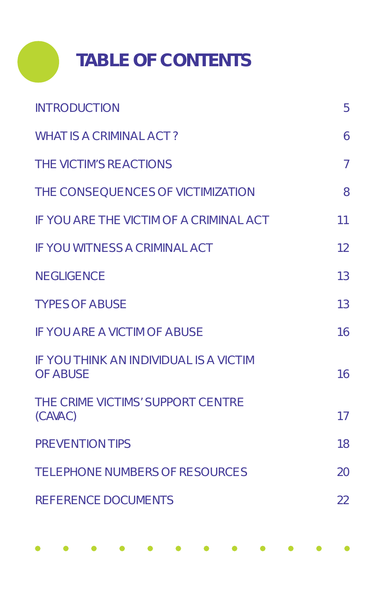

| <b>INTRODUCTION</b>                                              | 5              |
|------------------------------------------------------------------|----------------|
| <b>WHAT IS A CRIMINAL ACT?</b>                                   | 6              |
| <b>THE VICTIM'S REACTIONS</b>                                    | $\overline{7}$ |
| THE CONSEQUENCES OF VICTIMIZATION                                | 8              |
| <b>IF YOU ARE THE VICTIM OF A CRIMINAL ACT</b>                   | 11             |
| <b>IF YOU WITNESS A CRIMINAL ACT</b>                             | 12             |
| <b>NEGLIGENCE</b>                                                | 13             |
| <b>TYPES OF ABUSE</b>                                            | 13             |
| <b>IF YOU ARE A VICTIM OF ABUSE</b>                              | 16             |
| <b>IF YOU THINK AN INDIVIDUAL IS A VICTIM</b><br><b>OF ABUSE</b> | 16             |
| THE CRIME VICTIMS' SUPPORT CENTRE<br>(CAVAC)                     | 17             |
| PREVENTION TIPS                                                  | 18             |
| <b>TELEPHONE NUMBERS OF RESOURCES</b>                            | 20             |
| <b>REFERENCE DOCUMENTS</b>                                       | 22             |
|                                                                  |                |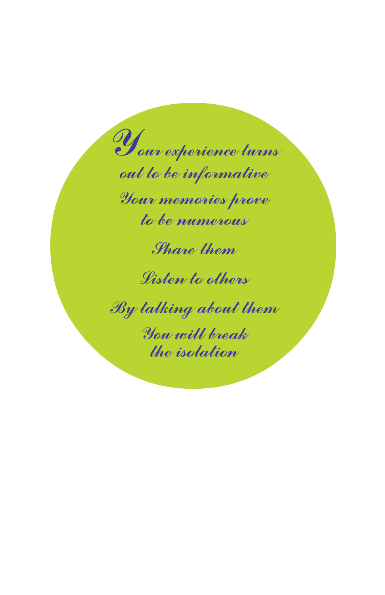Your experience turns out to be informative Your memories prove to be numerous

Share them

Listen to others

By talking about them

You will break the isolation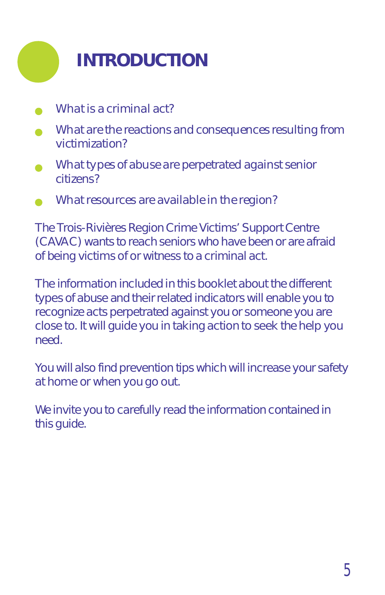

- *What is a criminal act?*
- *What are the reactions and consequences resulting from victimization?*
- *What types of abuse are perpetrated against senior citizens?*
- *What resources are available in the region?*

The Trois-Rivières Region Crime Victims' Support Centre (CAVAC) wants to reach seniors who have been or are afraid of being victims of or witness to a criminal act.

The information included in this booklet about the different types of abuse and their related indicators will enable you to recognize acts perpetrated against you or someone you are close to. It will guide you in taking action to seek the help you need.

You will also find prevention tips which will increase your safety at home or when you go out.

We invite you to carefully read the information contained in this guide.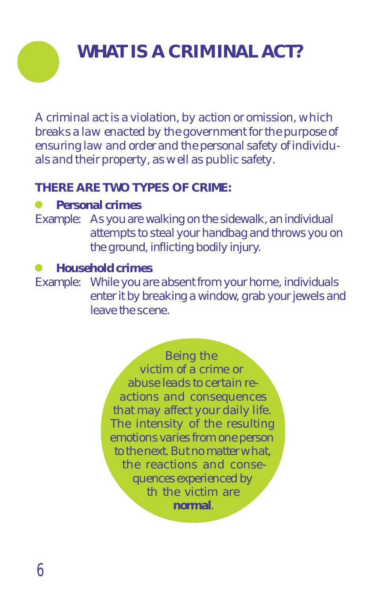# **WHAT IS A CRIMINAL ACT?**

*A criminal act is a violation, by action or omission, which breaks a law enacted by the government for the purpose of ensuring law and order and the personal safety of individuals and their property, as well as public safety.*

### **THERE ARE TWO TYPES OF CRIME:**

### *Personal crimes*

Example: As you are walking on the sidewalk, an individual attempts to steal your handbag and throws you on the ground, inflicting bodily injury.

### *Household crimes*

Example: While you are absent from your home, individuals enter it by breaking a window, grab your jewels and leave the scene.

> *Being the victim of a crime or abuse leads to certain reactions and consequences that may affect your daily life. The intensity of the resulting emotions varies from one person to the next. But no matter what, the reactions and consequences experienced by th the victim are normal.*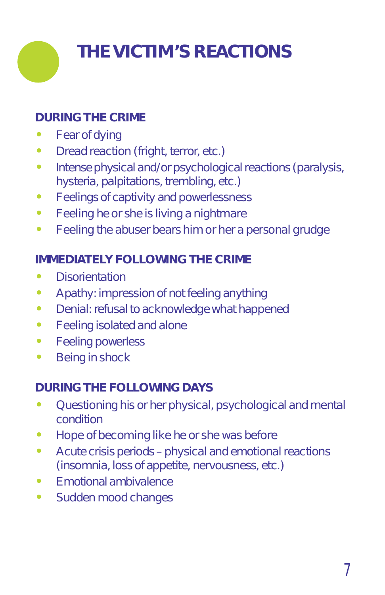

### **DURING THE CRIME**

- $\bullet$ Fear of dying
- $\bullet$ Dread reaction (fright, terror, etc.)
- $\bullet$  Intense physical and/or psychological reactions (paralysis, hysteria, palpitations, trembling, etc.)
- $\bullet$ Feelings of captivity and powerlessness
- $\bullet$ Feeling he or she is living a nightmare
- $\bullet$ Feeling the abuser bears him or her a personal grudge

### **IMMEDIATELY FOLLOWING THE CRIME**

- $\bullet$ **Disorientation**
- $\bullet$ Apathy: impression of not feeling anything
- $\bullet$ Denial: refusal to acknowledge what happened
- $\bullet$ Feeling isolated and alone
- $\bullet$ Feeling powerless
- $\bullet$ Being in shock

### **DURING THE FOLLOWING DAYS**

- $\bullet$  Questioning his or her physical, psychological and mental condition
- $\bullet$ Hope of becoming like he or she was before
- $\bullet$  Acute crisis periods – physical and emotional reactions (insomnia, loss of appetite, nervousness, etc.)
- $\bullet$ Emotional ambivalence
- $\bullet$ Sudden mood changes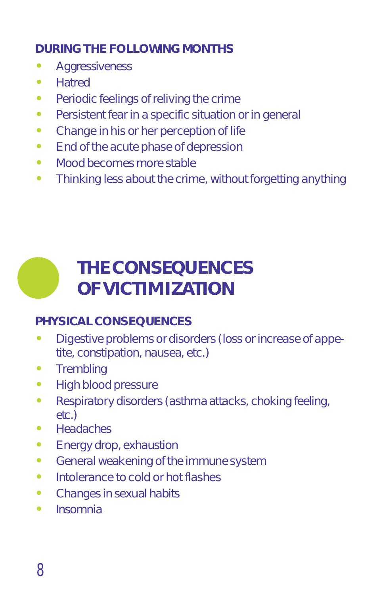### **DURING THE FOLLOWING MONTHS**

- $\bullet$ **Aggressiveness**
- $\bullet$ **Hatred**
- $\bullet$ Periodic feelings of reliving the crime
- $\bullet$ Persistent fear in a specific situation or in general
- $\bullet$ Change in his or her perception of life
- $\bullet$ End of the acute phase of depression
- $\bullet$ Mood becomes more stable
- $\bullet$ Thinking less about the crime, without forgetting anything

# **THE CONSEQUENCES OF VICTIMIZATION**

### **PHYSICAL CONSEQUENCES**

- $\bullet$  Digestive problems or disorders (loss or increase of appetite, constipation, nausea, etc.)
- $\bullet$ **Trembling**
- $\bullet$ High blood pressure
- $\bullet$  Respiratory disorders (asthma attacks, choking feeling, etc.)
- $\bullet$ **Headaches**
- $\bullet$ Energy drop, exhaustion
- $\bullet$ General weakening of the immune system
- $\bullet$ Intolerance to cold or hot flashes
- $\bullet$ Changes in sexual habits
- $\bullet$ Insomnia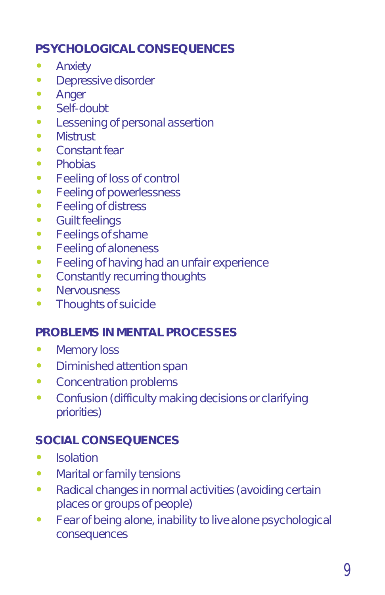#### **PSYCHOLOGICAL CONSEQUENCES** Ĩ,

- **Anxiety** Ĭ.
- Depressive disorder Ĭ.
- **Anger**
- $\bullet$  Self-doubt Ĭ.
- Lessening of personal assertion Ĭ.
- **Mistrust**  $\ddot{\bullet}$
- Constant fear
- $\bullet$  Phobias Ĭ,
- Feeling of loss of control Ĭ.
- Feeling of powerlessness  $\bullet$
- Feeling of distress  $\ddot{\bullet}$
- Guilt feelings
- $\bullet$  Feelings of shame Ĭ,
- Feeling of aloneness Ĭ.
- Feeling of having had an unfair experience  $\ddot{\bullet}$
- Constantly recurring thoughts Ĭ.
- Nervousness
- Thoughts of suicide

### **PROBLEMS IN MENTAL PROCESSES**

- $\bullet$ Memory loss
- $\bullet$ Diminished attention span
- $\bullet$ Concentration problems
- $\bullet$  Confusion (difficulty making decisions or clarifying priorities)

#### **SOCIAL CONSEQUENCES** Ĭ

- Isolation
- $\bullet$ Marital or family tensions
- $\bullet$  Radical changes in normal activities (avoiding certain places or groups of people)
- $\bullet$  Fear of being alone, inability to live alone psychological consequences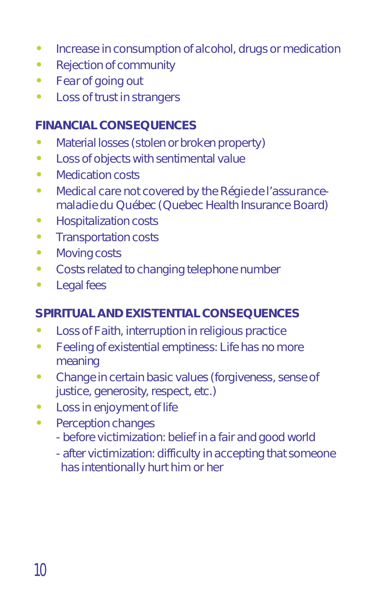- $\bullet$ Increase in consumption of alcohol, drugs or medication
- $\bullet$ Rejection of community
- $\bullet$ Fear of going out
- $\bullet$ Loss of trust in strangers

### **FINANCIAL CONSEQUENCES**

- $\bullet$ Material losses (stolen or broken property)
- $\bullet$ Loss of objects with sentimental value
- $\bullet$ Medication costs
- $\bullet$  Medical care not covered by the *Régie de l'assurancemaladie du Québec* (Quebec Health Insurance Board)
- $\bullet$ Hospitalization costs
- $\bullet$ Transportation costs
- $\bullet$ Moving costs
- $\bullet$ Costs related to changing telephone number
- $\bullet$ Legal fees

#### **SPIRITUAL AND EXISTENTIAL CONSEQUENCES** Ĭ

- Loss of Faith, interruption in religious practice
- $\bullet$  Feeling of existential emptiness: Life has no more meaning
- $\bullet$  Change in certain basic values (forgiveness, sense of justice, generosity, respect, etc.)
- $\bullet$ Loss in enjoyment of life
- $\bullet$  Perception changes
	- before victimization: belief in a fair and good world
	- after victimization: difficulty in accepting that someone has intentionally hurt him or her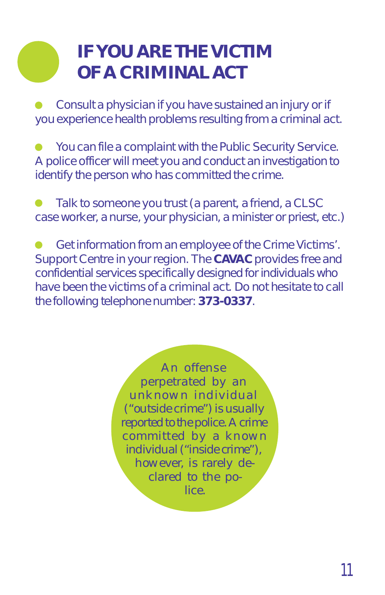# **IF YOU ARE THE VICTIM OF A CRIMINAL ACT**

Consult a physician if you have sustained an injury or if you experience health problems resulting from a criminal act.

You can file a complaint with the Public Security Service. A police officer will meet you and conduct an investigation to identify the person who has committed the crime.

Talk to someone you trust (a parent, a friend, a CLSC case worker, a nurse, your physician, a minister or priest, etc.)

Get information from an employee of the Crime Victims'.  $\bullet$ Support Centre in your region. The **CAVAC** provides free and confidential services specifically designed for individuals who have been the victims of a criminal act. Do not hesitate to call the following telephone number: **373-0337**.

> *An offense perpetrated by an unknown individual ("outside crime") is usually reported to the police. A crime committed by a known individual ("inside crime"), however, is rarely declared to the police.*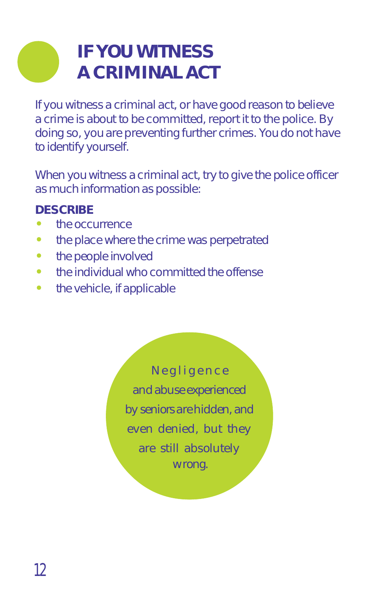# **IF YOU WITNESS A CRIMINAL ACT**

If you witness a criminal act, or have good reason to believe a crime is about to be committed, report it to the police. By doing so, you are preventing further crimes. You do not have to identify yourself.

When you witness a criminal act, try to give the police officer as much information as possible:

### **DESCRIBE**

- the occurrence
- $\bullet$ the place where the crime was perpetrated
- $\bullet$ the people involved
- $\bullet$ the individual who committed the offense
- $\bullet$ the vehicle, if applicable

*Negligence and abuse experienced by seniors are hidden, and even denied, but they are still absolutely wrong.*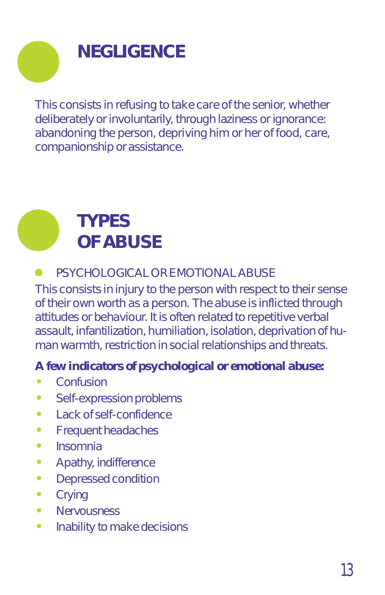# **NEGLIGENCE**

This consists in refusing to take care of the senior, whether deliberately or involuntarily, through laziness or ignorance: abandoning the person, depriving him or her of food, care, companionship or assistance.



### PSYCHOLOGICAL OR EMOTIONAL ABUSE

This consists in injury to the person with respect to their sense of their own worth as a person. The abuse is inflicted through attitudes or behaviour. It is often related to repetitive verbal assault, infantilization, humiliation, isolation, deprivation of human warmth, restriction in social relationships and threats.

## *A few indicators of psychological or emotional abuse:*

- Confusion
- $\bullet$ Self-expression problems
- $\bullet$ Lack of self-confidence
- $\bullet$ Frequent headaches
- $\bullet$ Insomnia
- $\bullet$ Apathy, indifference
- $\bullet$ Depressed condition
- $\bullet$ **Crying**
- $\bullet$ **Nervousness**
- $\bullet$ Inability to make decisions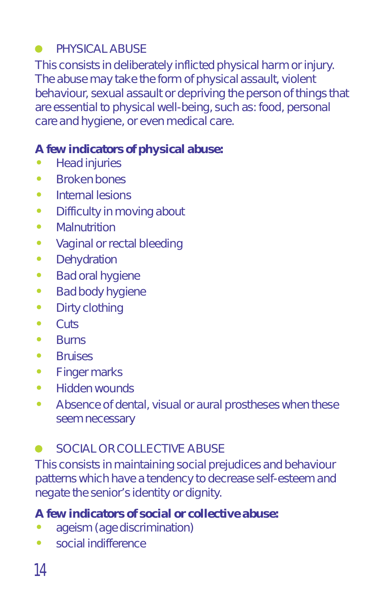### PHYSICAL ABUSE

This consists in deliberately inflicted physical harm or injury. The abuse may take the form of physical assault, violent behaviour, sexual assault or depriving the person of things that are essential to physical well-being, such as: food, personal care and hygiene, or even medical care.

### *A few indicators of physical abuse:*

- Head injuries
- $\bullet$ Broken bones
- $\blacksquare$ Internal lesions
- $\bullet$ Difficulty in moving about
- $\bullet$ **Malnutrition**
- $\bullet$ Vaginal or rectal bleeding
- $\bullet$ **Dehydration**
- $\bullet$ Bad oral hygiene
- $\bullet$ Bad body hygiene
- $\bullet$ Dirty clothing
- $\bullet$ **Cuts**
- $\bullet$ Burns
- $\bullet$ **Bruises**
- $\bullet$ Finger marks
- $\bullet$ Hidden wounds
- $\bullet$  Absence of dental, visual or aural prostheses when these seem necessary

### SOCIAL OR COLLECTIVE ABUSE

This consists in maintaining social prejudices and behaviour patterns which have a tendency to decrease self-esteem and negate the senior's identity or dignity.

### *A few indicators of social or collective abuse:*

- ageism (age discrimination)
- $\bullet$ social indifference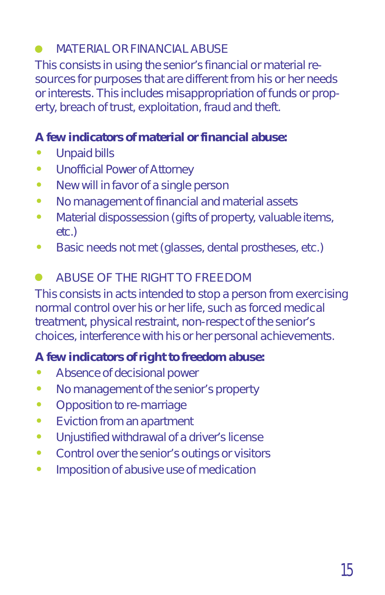### MATERIAL OR FINANCIAL ABUSE

This consists in using the senior's financial or material resources for purposes that are different from his or her needs or interests. This includes misappropriation of funds or property, breach of trust, exploitation, fraud and theft.

# *A few indicators of material or financial abuse:*

- Unpaid bills
- $\bullet$ Unofficial Power of Attorney
- $\bullet$ New will in favor of a single person
- $\bullet$ No management of financial and material assets
- $\bullet$  Material dispossession (gifts of property, valuable items, etc.)
- $\bullet$ Basic needs not met (glasses, dental prostheses, etc.)

#### $\bullet$ ABUSE OF THE RIGHT TO FREEDOM

This consists in acts intended to stop a person from exercising normal control over his or her life, such as forced medical treatment, physical restraint, non-respect of the senior's choices, interference with his or her personal achievements.

## *A few indicators of right to freedom abuse:*

- Absence of decisional power
- $\bullet$ No management of the senior's property
- $\bullet$ Opposition to re-marriage
- $\bullet$ Eviction from an apartment
- $\bullet$ Unjustified withdrawal of a driver's license
- $\bullet$ Control over the senior's outings or visitors
- $\bullet$ Imposition of abusive use of medication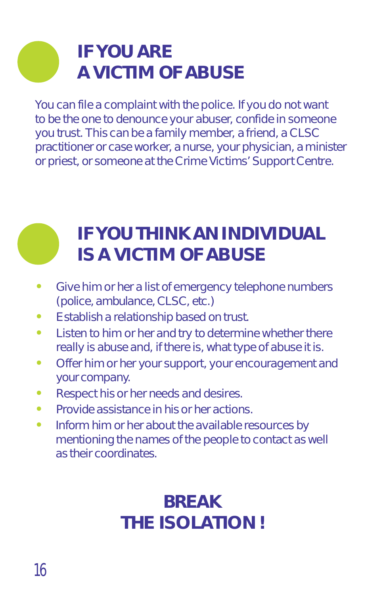# **IF YOU ARE A VICTIM OF ABUSE**

You can file a complaint with the police. If you do not want to be the one to denounce your abuser, confide in someone you trust. This can be a family member, a friend, a CLSC practitioner or case worker, a nurse, your physician, a minister or priest, or someone at the Crime Victims' Support Centre.

# **IF YOU THINK AN INDIVIDUAL IS A VICTIM OF ABUSE**

- $\bullet$  Give him or her a list of emergency telephone numbers (police, ambulance, CLSC, etc.)
- $\bullet$ Establish a relationship based on trust.
- $\bullet$  Listen to him or her and try to determine whether there really is abuse and, if there is, what type of abuse it is.
- $\bullet$  Offer him or her your support, your encouragement and your company.
- $\bullet$ Respect his or her needs and desires.
- $\bullet$ Provide assistance in his or her actions.
- $\bullet$  Inform him or her about the available resources by mentioning the names of the people to contact as well as their coordinates.

# *BREAK THE ISOLATION !*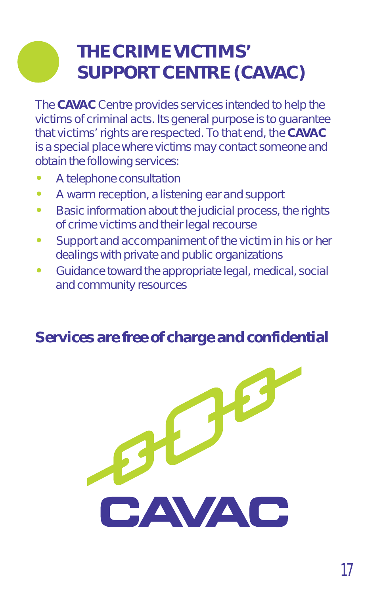# **THE CRIME VICTIMS' SUPPORT CENTRE (CAVAC)**

The **CAVAC** Centre provides services intended to help the victims of criminal acts. Its general purpose is to guarantee that victims' rights are respected. To that end, the **CAVAC** is a special place where victims may contact someone and obtain the following services:

- Ĭ A telephone consultation
- $\bullet$ A warm reception, a listening ear and support
- $\bullet$  Basic information about the judicial process, the rights of crime victims and their legal recourse
- $\bullet$  Support and accompaniment of the victim in his or her dealings with private and public organizations
- $\bullet$  Guidance toward the appropriate legal, medical, social and community resources

### *Services are free of charge and confidential*

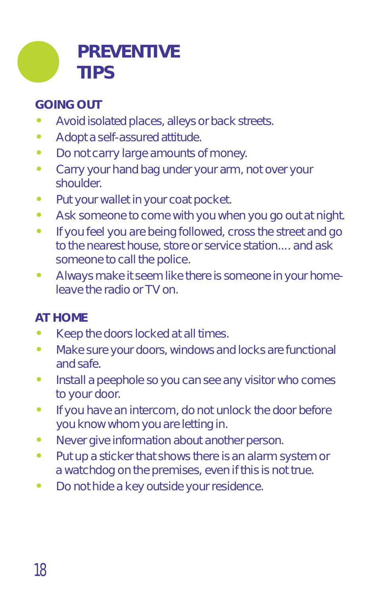

### **GOING OUT**

- $\bullet$ Avoid isolated places, alleys or back streets.
- $\bullet$ Adopt a self-assured attitude.
- $\bullet$ Do not carry large amounts of money.
- $\bullet$  Carry your hand bag under your arm, not over your shoulder.
- $\bullet$ Put your wallet in your coat pocket.
- $\bullet$ Ask someone to come with you when you go out at night.
- $\bullet$  If you feel you are being followed, cross the street and go to the nearest house, store or service station.... and ask someone to call the police.
- $\bullet$  Always make it seem like there is someone in your homeleave the radio or TV on.

### **AT HOME**

- $\bullet$ Keep the doors locked at all times.
- $\bullet$  Make sure your doors, windows and locks are functional and safe.
- $\bullet$  Install a peephole so you can see any visitor who comes to your door.
- $\bullet$  If you have an intercom, do not unlock the door before you know whom you are letting in.
- $\bullet$ Never give information about another person.
- $\bullet$  Put up a sticker that shows there is an alarm system or a watchdog on the premises, even if this is not true.
- Do not hide a key outside your residence.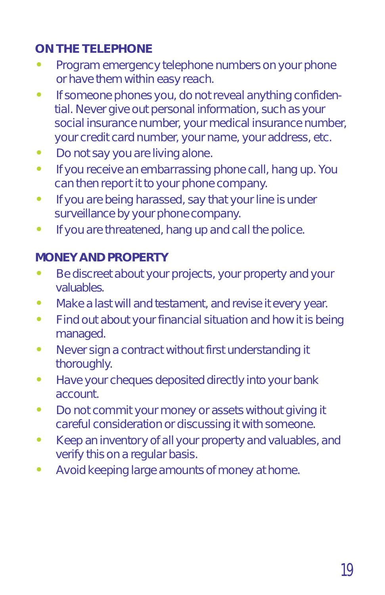### **ON THE TELEPHONE**

- $\bullet$  Program emergency telephone numbers on your phone or have them within easy reach.
- $\bullet$  If someone phones you, do not reveal anything confidential. Never give out personal information, such as your social insurance number, your medical insurance number, your credit card number, your name, your address, etc.
- $\bullet$ Do not say you are living alone.
- $\bullet$  If you receive an embarrassing phone call, hang up. You can then report it to your phone company.
- $\bullet$  If you are being harassed, say that your line is under surveillance by your phone company.
- $\bullet$ If you are threatened, hang up and call the police.

# **MONEY AND PROPERTY**

- Be discreet about your projects, your property and your valuables.
- $\bullet$ Make a last will and testament, and revise it every year.
- $\bullet$  Find out about your financial situation and how it is being managed.
- $\bullet$  Never sign a contract without first understanding it thoroughly.
- $\bullet$  Have your cheques deposited directly into your bank account.
- $\bullet$  Do not commit your money or assets without giving it careful consideration or discussing it with someone.
- $\bullet$  Keep an inventory of all your property and valuables, and verify this on a regular basis.
- $\bullet$ Avoid keeping large amounts of money at home.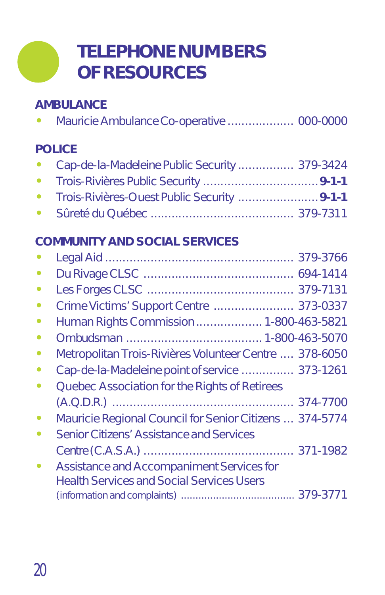# **TELEPHONE NUMBERS OF RESOURCES**

# **AMBULANCE**

|--|--|--|

# **POLICE**

|           | • Cap-de-la-Madeleine Public Security  379-3424 |  |
|-----------|-------------------------------------------------|--|
| $\bullet$ |                                                 |  |
|           |                                                 |  |
|           |                                                 |  |

# **COMMUNITY AND SOCIAL SERVICES**

| $\bullet$ |                                                         |  |
|-----------|---------------------------------------------------------|--|
| $\bullet$ |                                                         |  |
| $\bullet$ |                                                         |  |
| $\bullet$ | Human Rights Commission 1-800-463-5821                  |  |
| $\bullet$ |                                                         |  |
| $\bullet$ | Metropolitan Trois-Rivières Volunteer Centre  378-6050  |  |
|           | Cap-de-la-Madeleine point of service  373-1261          |  |
| $\bullet$ | Quebec Association for the Rights of Retirees           |  |
|           |                                                         |  |
| $\bullet$ | Mauricie Regional Council for Senior Citizens  374-5774 |  |
|           | <b>Senior Citizens' Assistance and Services</b>         |  |
|           |                                                         |  |
| $\bullet$ | <b>Assistance and Accompaniment Services for</b>        |  |
|           | <b>Health Services and Social Services Users</b>        |  |
|           |                                                         |  |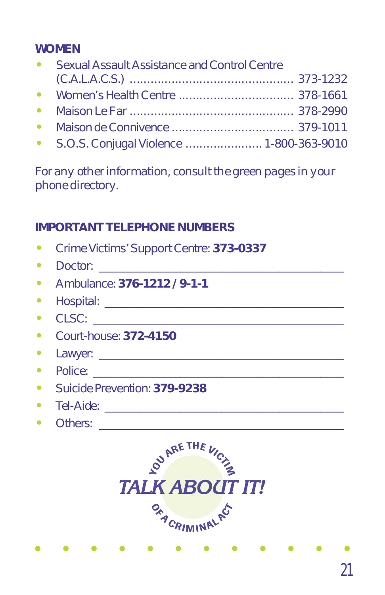## **WOMEN**

| $\bullet$ | <b>Sexual Assault Assistance and Control Centre</b> |  |
|-----------|-----------------------------------------------------|--|
|           |                                                     |  |
| $\bullet$ |                                                     |  |
|           |                                                     |  |
| $\bullet$ |                                                     |  |
|           | • S.O.S. Conjugal Violence  1-800-363-9010          |  |

*For any other information, consult the green pages in your phone directory.*

### **IMPORTANT TELEPHONE NUMBERS**

- $\bullet$ Crime Victims' Support Centre: **373-0337**
- $\bullet$ Doctor:
- $\bullet$ Ambulance: **376-1212 / 9-1-1**
- $\bullet$ Hospital: \_\_\_\_\_\_\_\_\_\_\_\_\_\_\_\_\_\_\_\_\_\_\_\_\_\_\_\_\_\_\_\_\_\_\_\_\_\_\_\_\_
- $\bullet$  $CLSC:$
- $\bullet$ Court-house: **372-4150**
- $\bullet$ Lawyer:
- $\bullet$ Police:
- $\bullet$ Suicide Prevention: **379-9238**
- $\bullet$ Tel-Aide: \_\_\_\_\_\_\_\_\_\_\_\_\_\_\_\_\_\_\_\_\_\_\_\_\_\_\_\_\_\_\_\_\_\_\_\_\_\_\_\_\_
- Others: \_\_\_\_\_\_\_\_\_\_\_\_\_\_\_\_\_\_\_\_\_\_\_\_\_\_\_\_\_\_\_\_\_\_\_\_\_\_\_\_\_\_

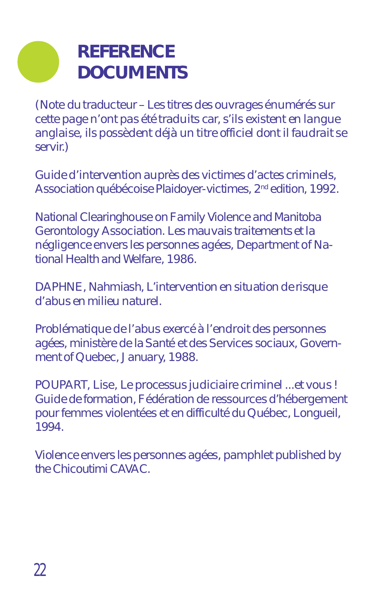# **REFERENCE DOCUMENTS**

(Note du traducteur – *Les titres des ouvrages énumérés sur cette page n'ont pas été traduits car, s'ils existent en langue anglaise, ils possèdent déjà un titre officiel dont il faudrait se servir.*)

*Guide d'intervention auprès des victimes d'actes criminels,* Association québécoise Plaidoyer-victimes, 2<sup>nd</sup> edition, 1992.

National Clearinghouse on Family Violence and Manitoba Gerontology Association. *Les mauvais traitements et la négligence envers les personnes agées*, Department of National Health and Welfare, 1986.

DAPHNE, Nahmiash, *L'intervention en situation de risque d'abus en milieu naturel*.

*Problématique de l'abus exercé à l'endroit des personnes agées*, ministère de la Santé et des Services sociaux, Government of Quebec, January, 1988.

POUPART, Lise, *Le processus judiciaire criminel ...et vous ! Guide de formation,* Fédération de ressources d'hébergement pour femmes violentées et en difficulté du Québec, Longueil, 1994.

*Violence envers les personnes agées*, pamphlet published by the Chicoutimi CAVAC.